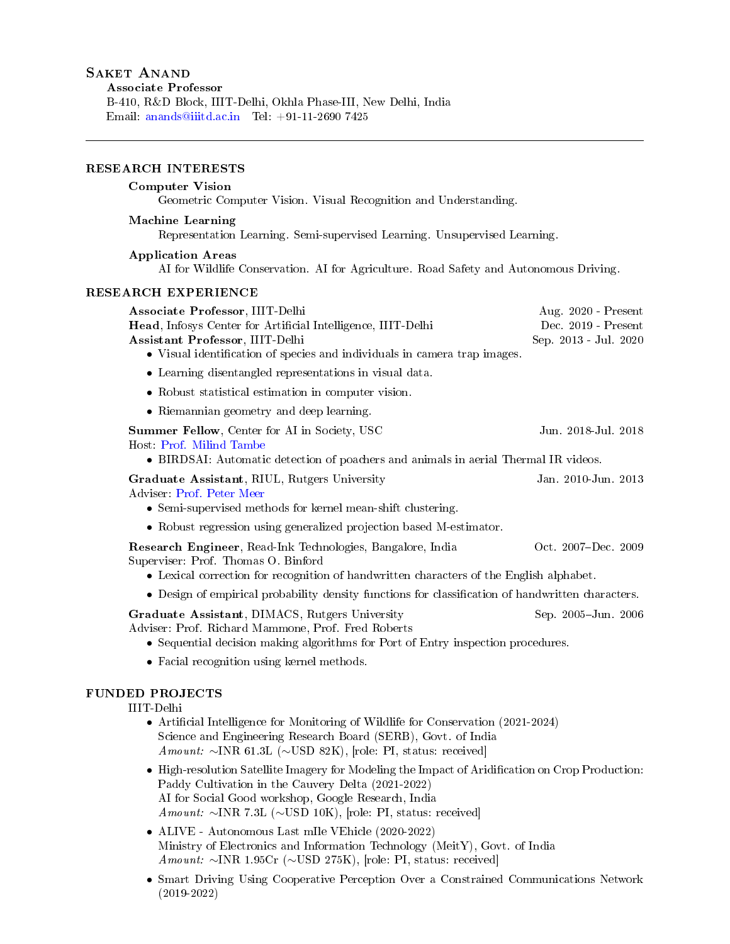B-410, R&D Block, IIIT-Delhi, Okhla Phase-III, New Delhi, India Email: [anands@iiitd.ac.in](mailto:anands@iiitd.ac.in) Tel: +91-11-2690 7425

# RESEARCH INTERESTS

# Computer Vision

Geometric Computer Vision. Visual Recognition and Understanding.

#### Machine Learning

Representation Learning. Semi-supervised Learning. Unsupervised Learning.

## Application Areas

AI for Wildlife Conservation. AI for Agriculture. Road Safety and Autonomous Driving.

## RESEARCH EXPERIENCE

| Associate Professor, IIIT-Delhi<br>Head, Infosys Center for Artificial Intelligence, IIIT-Delhi<br>Assistant Professor, IIIT-Delhi<br>• Visual identification of species and individuals in camera trap images.                                                                          | Aug. 2020 - Present<br>Dec. 2019 - Present<br>Sep. 2013 - Jul. 2020 |
|------------------------------------------------------------------------------------------------------------------------------------------------------------------------------------------------------------------------------------------------------------------------------------------|---------------------------------------------------------------------|
| • Learning disentangled representations in visual data.                                                                                                                                                                                                                                  |                                                                     |
| • Robust statistical estimation in computer vision.                                                                                                                                                                                                                                      |                                                                     |
| • Riemannian geometry and deep learning.                                                                                                                                                                                                                                                 |                                                                     |
| Summer Fellow, Center for AI in Society, USC<br>Host Prof. Milind Tambe<br>• BIRDSAI: Automatic detection of poachers and animals in aerial Thermal IR videos.                                                                                                                           | Jun. 2018-Jul. 2018                                                 |
| Graduate Assistant, RIUL, Rutgers University<br>Adviser: Prof. Peter Meer<br>• Semi-supervised methods for kernel mean-shift clustering.                                                                                                                                                 | Jan. 2010-Jun. 2013                                                 |
| • Robust regression using generalized projection based M-estimator.                                                                                                                                                                                                                      |                                                                     |
| Research Engineer, Read-Ink Technologies, Bangalore, India<br>Superviser: Prof. Thomas O. Binford<br>• Lexical correction for recognition of handwritten characters of the English alphabet.                                                                                             | Oct. 2007-Dec. 2009                                                 |
| • Design of empirical probability density functions for classification of handwritten characters.                                                                                                                                                                                        |                                                                     |
| Graduate Assistant, DIMACS, Rutgers University<br>Adviser: Prof. Richard Mammone, Prof. Fred Roberts<br>• Sequential decision making algorithms for Port of Entry inspection procedures.                                                                                                 | Sep. 2005-Jun. 2006                                                 |
| • Facial recognition using kernel methods.                                                                                                                                                                                                                                               |                                                                     |
| <b>FUNDED PROJECTS</b><br>IIIT-Delhi<br>• Artificial Intelligence for Monitoring of Wildlife for Conservation (2021-2024)<br>Science and Engineering Research Board (SERB), Govt. of India<br>Amount: $\sim$ INR 61.3L ( $\sim$ USD 82K), [role: PI, status: received]                   |                                                                     |
| • High-resolution Satellite Imagery for Modeling the Impact of Aridification on Crop Production:<br>Paddy Cultivation in the Cauvery Delta (2021-2022)<br>AI for Social Good workshop, Google Research, India<br>Amount: $\sim$ INR 7.3L ( $\sim$ USD 10K), [role: PI, status: received] |                                                                     |
| • ALIVE - Autonomous Last mIle VEhicle (2020-2022)<br>Ministry of Electronics and Information Technology (MeitY), Govt. of India<br>Amount: $\sim$ INR 1.95Cr ( $\sim$ USD 275K), [role: PI, status: received]                                                                           |                                                                     |

• Smart Driving Using Cooperative Perception Over a Constrained Communications Network (2019-2022)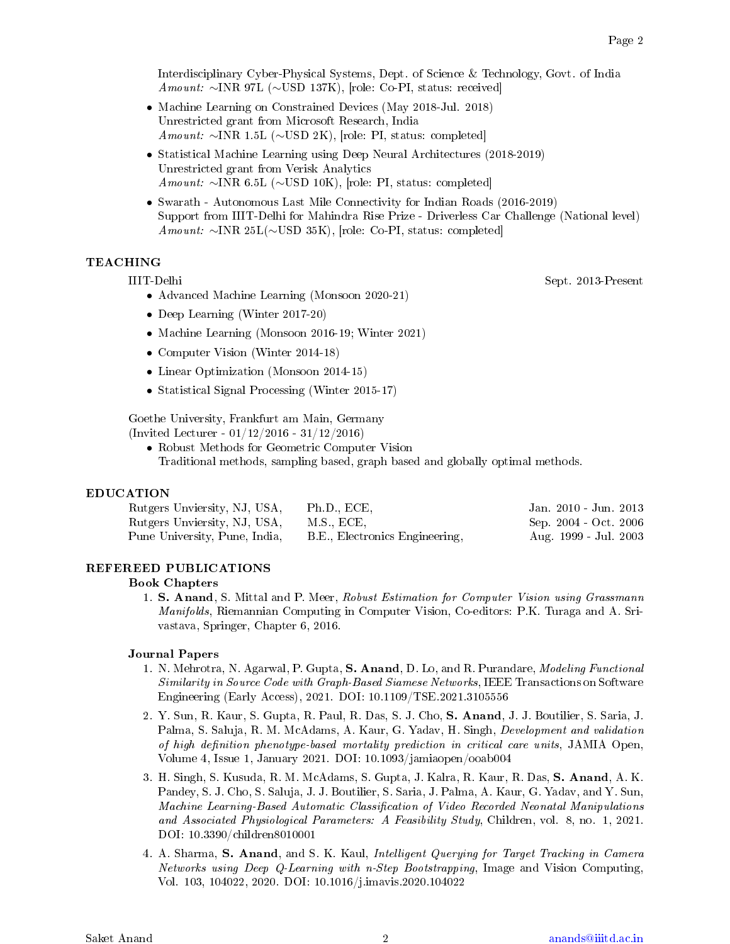Interdisciplinary Cyber-Physical Systems, Dept. of Science & Technology, Govt. of India Amount: ∼INR 97L (∼USD 137K), [role: Co-PI, status: received]

- Machine Learning on Constrained Devices (May 2018-Jul. 2018) Unrestricted grant from Microsoft Research, India Amount: ∼INR 1.5L (∼USD 2K), [role: PI, status: completed]
- Statistical Machine Learning using Deep Neural Architectures (2018-2019) Unrestricted grant from Verisk Analytics Amount: ∼INR 6.5L (∼USD 10K), [role: PI, status: completed]
- Swarath Autonomous Last Mile Connectivity for Indian Roads (2016-2019) Support from IIIT-Delhi for Mahindra Rise Prize - Driverless Car Challenge (National level) Amount: ∼INR 25L(∼USD 35K), [role: Co-PI, status: completed]

# TEACHING

- IIIT-Delhi Sept. 2013-Present
	- Advanced Machine Learning (Monsoon 2020-21)
	- Deep Learning (Winter 2017-20)
	- Machine Learning (Monsoon 2016-19; Winter 2021)
	- Computer Vision (Winter 2014-18)
	- Linear Optimization (Monsoon 2014-15)
	- Statistical Signal Processing (Winter 2015-17)

Goethe University, Frankfurt am Main, Germany (Invited Lecturer - 01/12/2016 - 31/12/2016)

• Robust Methods for Geometric Computer Vision

Traditional methods, sampling based, graph based and globally optimal methods.

#### EDUCATION

| Rutgers Unviersity, NJ, USA,  | Ph.D., ECE.                    | Jan. 2010 - Jun. 2013 |
|-------------------------------|--------------------------------|-----------------------|
| Rutgers Unviersity, NJ, USA,  | M.S., ECE,                     | Sep. 2004 - Oct. 2006 |
| Pune University, Pune, India, | B.E., Electronics Engineering, | Aug. 1999 - Jul. 2003 |

#### REFEREED PUBLICATIONS

#### Book Chapters

1. S. Anand, S. Mittal and P. Meer, Robust Estimation for Computer Vision using Grassmann Manifolds, Riemannian Computing in Computer Vision, Co-editors: P.K. Turaga and A. Srivastava, Springer, Chapter 6, 2016.

#### Journal Papers

- 1. N. Mehrotra, N. Agarwal, P. Gupta, S. Anand, D. Lo, and R. Purandare, *Modeling Functional* Similarity in Source Code with Graph-Based Siamese Networks, IEEE Transactions on Software Engineering (Early Access), 2021. DOI: 10.1109/TSE.2021.3105556
- 2. Y. Sun, R. Kaur, S. Gupta, R. Paul, R. Das, S. J. Cho, S. Anand, J. J. Boutilier, S. Saria, J. Palma, S. Saluja, R. M. McAdams, A. Kaur, G. Yadav, H. Singh, Development and validation of high definition phenotype-based mortality prediction in critical care units, JAMIA Open, Volume 4, Issue 1, January 2021. DOI: 10.1093/jamiaopen/ooab004
- 3. H. Singh, S. Kusuda, R. M. McAdams, S. Gupta, J. Kalra, R. Kaur, R. Das, S. Anand, A. K. Pandey, S. J. Cho, S. Saluja, J. J. Boutilier, S. Saria, J. Palma, A. Kaur, G. Yadav, and Y. Sun, Machine Learning-Based Automatic Classification of Video Recorded Neonatal Manipulations and Associated Physiological Parameters: A Feasibility Study, Children, vol. 8, no. 1, 2021. DOI: 10.3390/children8010001
- 4. A. Sharma, S. Anand, and S. K. Kaul, Intelligent Querying for Target Tracking in Camera Networks using Deep Q-Learning with n-Step Bootstrapping, Image and Vision Computing, Vol. 103, 104022, 2020. DOI: 10.1016/j.imavis.2020.104022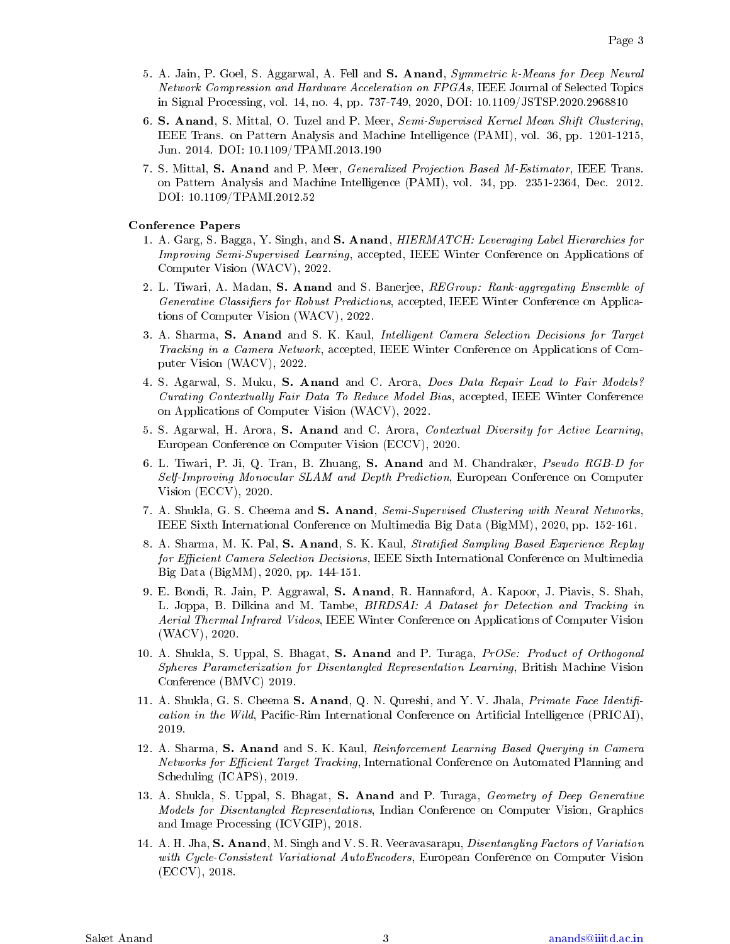- 5. A. Jain, P. Goel, S. Aggarwal, A. Fell and S. Anand, Symmetric k-Means for Deep Neural Network Compression and Hardware Acceleration on FPGAs, IEEE Journal of Selected Topics in Signal Processing, vol. 14, no. 4, pp. 737-749, 2020, DOI: 10.1109/JSTSP.2020.2968810
- 6. S. Anand, S. Mittal, O. Tuzel and P. Meer, Semi-Supervised Kernel Mean Shift Clustering, IEEE Trans. on Pattern Analysis and Machine Intelligence (PAMI), vol. 36, pp. 1201-1215, Jun. 2014. DOI: 10.1109/TPAMI.2013.190
- 7. S. Mittal, S. Anand and P. Meer, Generalized Projection Based M-Estimator, IEEE Trans. on Pattern Analysis and Machine Intelligence (PAMI), vol. 34, pp. 2351-2364, Dec. 2012. DOI: 10.1109/TPAMI.2012.52

#### Conference Papers

- 1. A. Garg, S. Bagga, Y. Singh, and S. Anand, *HIERMATCH: Leveraging Label Hierarchies for* Improving Semi-Supervised Learning, accepted, IEEE Winter Conference on Applications of Computer Vision (WACV), 2022.
- 2. L. Tiwari, A. Madan, S. Anand and S. Banerjee, REGroup: Rank-aggregating Ensemble of Generative Classifiers for Robust Predictions, accepted, IEEE Winter Conference on Applications of Computer Vision (WACV), 2022.
- 3. A. Sharma, S. Anand and S. K. Kaul, Intelligent Camera Selection Decisions for Target Tracking in a Camera Network, accepted, IEEE Winter Conference on Applications of Computer Vision (WACV), 2022.
- 4. S. Agarwal, S. Muku, S. Anand and C. Arora, Does Data Repair Lead to Fair Models? Curating Contextually Fair Data To Reduce Model Bias, accepted, IEEE Winter Conference on Applications of Computer Vision (WACV), 2022.
- 5. S. Agarwal, H. Arora, S. Anand and C. Arora, Contextual Diversity for Active Learning, European Conference on Computer Vision (ECCV), 2020.
- 6. L. Tiwari, P. Ji, Q. Tran, B. Zhuang, S. Anand and M. Chandraker, Pseudo RGB-D for Self-Improving Monocular SLAM and Depth Prediction, European Conference on Computer Vision (ECCV), 2020.
- 7. A. Shukla, G. S. Cheema and S. Anand, Semi-Supervised Clustering with Neural Networks, IEEE Sixth International Conference on Multimedia Big Data (BigMM), 2020, pp. 152-161.
- 8. A. Sharma, M. K. Pal, S. Anand, S. K. Kaul, *Stratified Sampling Based Experience Replay* for Efficient Camera Selection Decisions, IEEE Sixth International Conference on Multimedia Big Data (BigMM), 2020, pp. 144-151.
- 9. E. Bondi, R. Jain, P. Aggrawal, S. Anand, R. Hannaford, A. Kapoor, J. Piavis, S. Shah, L. Joppa, B. Dilkina and M. Tambe, BIRDSAI: A Dataset for Detection and Tracking in Aerial Thermal Infrared Videos, IEEE Winter Conference on Applications of Computer Vision (WACV), 2020.
- 10. A. Shukla, S. Uppal, S. Bhagat, S. Anand and P. Turaga, *PrOSe: Product of Orthogonal* Spheres Parameterization for Disentangled Representation Learning, British Machine Vision Conference (BMVC) 2019.
- 11. A. Shukla, G. S. Cheema S. Anand, Q. N. Qureshi, and Y. V. Jhala, *Primate Face Identifi*cation in the Wild, Pacific-Rim International Conference on Artificial Intelligence (PRICAI), 2019.
- 12. A. Sharma, S. Anand and S. K. Kaul, Reinforcement Learning Based Querying in Camera Networks for Efficient Target Tracking, International Conference on Automated Planning and Scheduling (ICAPS), 2019.
- 13. A. Shukla, S. Uppal, S. Bhagat, S. Anand and P. Turaga, *Geometry of Deep Generative* Models for Disentangled Representations, Indian Conference on Computer Vision, Graphics and Image Processing (ICVGIP), 2018.
- 14. A. H. Jha, S. Anand, M. Singh and V. S. R. Veeravasarapu, *Disentangling Factors of Variation* with Cycle-Consistent Variational AutoEncoders, European Conference on Computer Vision (ECCV), 2018.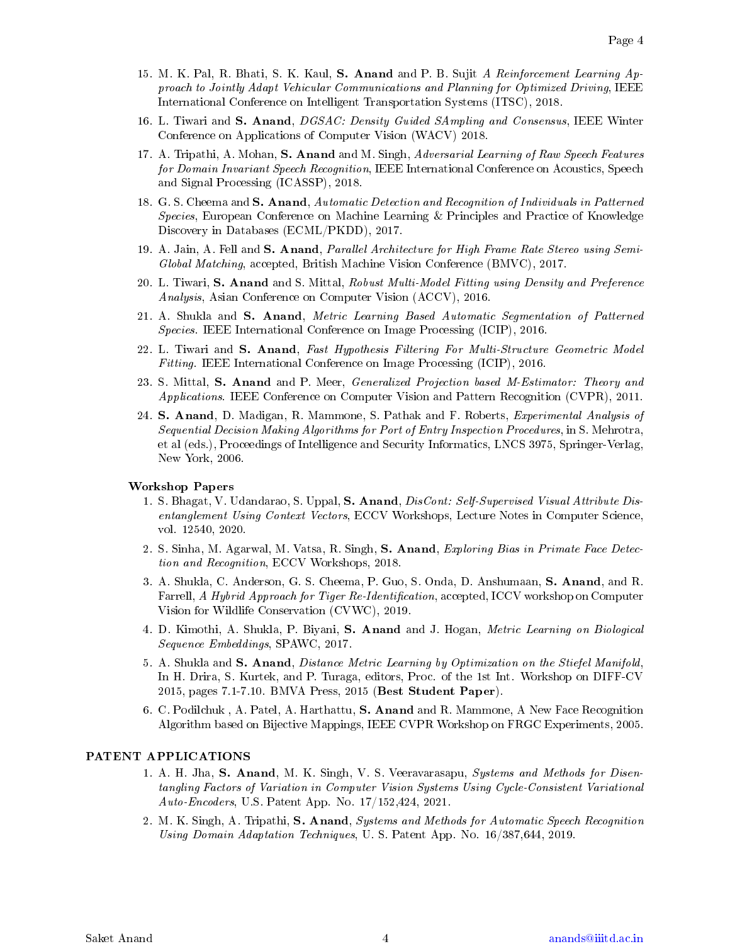- 15. M. K. Pal, R. Bhati, S. K. Kaul, S. Anand and P. B. Sujit A Reinforcement Learning Approach to Jointly Adapt Vehicular Communications and Planning for Optimized Driving, IEEE International Conference on Intelligent Transportation Systems (ITSC), 2018.
- 16. L. Tiwari and S. Anand, DGSAC: Density Guided SAmpling and Consensus, IEEE Winter Conference on Applications of Computer Vision (WACV) 2018.
- 17. A. Tripathi, A. Mohan, S. Anand and M. Singh, Adversarial Learning of Raw Speech Features for Domain Invariant Speech Recognition, IEEE International Conference on Acoustics, Speech and Signal Processing (ICASSP), 2018.
- 18. G. S. Cheema and S. Anand, Automatic Detection and Recognition of Individuals in Patterned Species, European Conference on Machine Learning & Principles and Practice of Knowledge Discovery in Databases (ECML/PKDD), 2017.
- 19. A. Jain, A. Fell and S. Anand, Parallel Architecture for High Frame Rate Stereo using Semi-Global Matching, accepted, British Machine Vision Conference (BMVC), 2017.
- 20. L. Tiwari, S. Anand and S. Mittal, Robust Multi-Model Fitting using Density and Preference Analysis, Asian Conference on Computer Vision (ACCV), 2016.
- 21. A. Shukla and S. Anand, Metric Learning Based Automatic Segmentation of Patterned Species. IEEE International Conference on Image Processing (ICIP), 2016.
- 22. L. Tiwari and S. Anand, Fast Hypothesis Filtering For Multi-Structure Geometric Model Fitting. IEEE International Conference on Image Processing (ICIP), 2016.
- 23. S. Mittal, S. Anand and P. Meer, *Generalized Projection based M-Estimator: Theory and* Applications. IEEE Conference on Computer Vision and Pattern Recognition (CVPR), 2011.
- 24. S. Anand, D. Madigan, R. Mammone, S. Pathak and F. Roberts, *Experimental Analysis of* Sequential Decision Making Algorithms for Port of Entry Inspection Procedures, in S. Mehrotra, et al (eds.), Proceedings of Intelligence and Security Informatics, LNCS 3975, Springer-Verlag, New York, 2006.

#### Workshop Papers

- 1. S. Bhagat, V. Udandarao, S. Uppal, S. Anand, DisCont: Self-Supervised Visual Attribute Disentanglement Using Context Vectors, ECCV Workshops, Lecture Notes in Computer Science, vol. 12540, 2020.
- 2. S. Sinha, M. Agarwal, M. Vatsa, R. Singh, S. Anand, Exploring Bias in Primate Face Detection and Recognition, ECCV Workshops, 2018.
- 3. A. Shukla, C. Anderson, G. S. Cheema, P. Guo, S. Onda, D. Anshumaan, S. Anand, and R. Farrell, A Hybrid Approach for Tiger Re-Identification, accepted, ICCV workshop on Computer Vision for Wildlife Conservation (CVWC), 2019.
- 4. D. Kimothi, A. Shukla, P. Biyani, S. Anand and J. Hogan, Metric Learning on Biological Sequence Embeddings, SPAWC, 2017.
- 5. A. Shukla and S. Anand, Distance Metric Learning by Optimization on the Stiefel Manifold, In H. Drira, S. Kurtek, and P. Turaga, editors, Proc. of the 1st Int. Workshop on DIFF-CV 2015, pages 7.1-7.10. BMVA Press, 2015 (Best Student Paper).
- 6. C. Podilchuk , A. Patel, A. Harthattu, S. Anand and R. Mammone, A New Face Recognition Algorithm based on Bijective Mappings, IEEE CVPR Workshop on FRGC Experiments, 2005.

#### PATENT APPLICATIONS

- 1. A. H. Jha, S. Anand, M. K. Singh, V. S. Veeravarasapu, Systems and Methods for Disentangling Factors of Variation in Computer Vision Systems Using Cycle-Consistent Variational Auto-Encoders, U.S. Patent App. No. 17/152,424, 2021.
- 2. M. K. Singh, A. Tripathi, S. Anand, Systems and Methods for Automatic Speech Recognition Using Domain Adaptation Techniques, U. S. Patent App. No. 16/387,644, 2019.